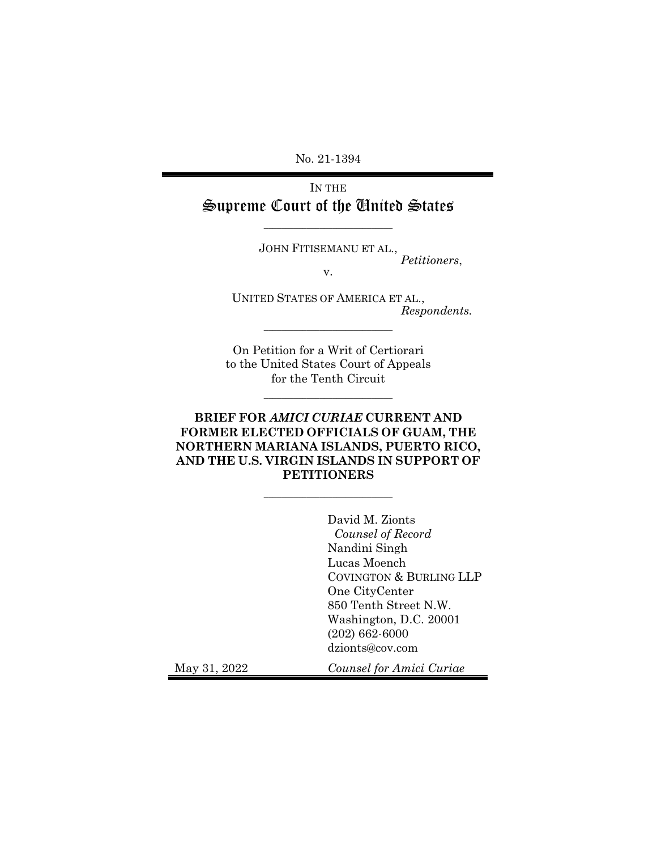No. 21-1394

IN THE Supreme Court of the United States

\_\_\_\_\_\_\_\_\_\_\_\_\_\_\_\_\_\_\_\_\_\_\_\_\_\_\_\_\_\_

JOHN FITISEMANU ET AL.,

*Petitioners*,

v.

UNITED STATES OF AMERICA ET AL., *Respondents.* 

On Petition for a Writ of Certiorari to the United States Court of Appeals for the Tenth Circuit

\_\_\_\_\_\_\_\_\_\_\_\_\_\_\_\_\_\_\_\_\_\_\_\_\_\_\_\_\_\_

\_\_\_\_\_\_\_\_\_\_\_\_\_\_\_\_\_\_\_\_\_\_\_\_\_\_\_\_\_\_

## **BRIEF FOR** *AMICI CURIAE* **CURRENT AND FORMER ELECTED OFFICIALS OF GUAM, THE NORTHERN MARIANA ISLANDS, PUERTO RICO, AND THE U.S. VIRGIN ISLANDS IN SUPPORT OF PETITIONERS**

\_\_\_\_\_\_\_\_\_\_\_\_\_\_\_\_\_\_\_\_\_\_\_\_\_\_\_\_\_\_

David M. Zionts *Counsel of Record*  Nandini Singh Lucas Moench COVINGTON & BURLING LLP One CityCenter 850 Tenth Street N.W. Washington, D.C. 20001 (202) 662-6000 dzionts@cov.com

May 31, 2022 *Counsel for Amici Curiae*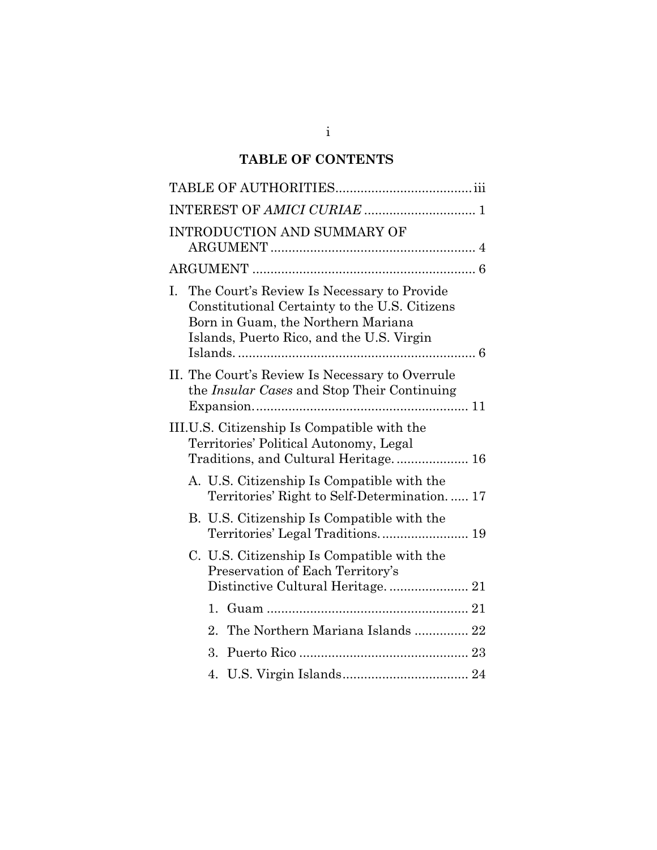# **TABLE OF CONTENTS**

| INTRODUCTION AND SUMMARY OF                                                                                                                                                          |  |
|--------------------------------------------------------------------------------------------------------------------------------------------------------------------------------------|--|
|                                                                                                                                                                                      |  |
| The Court's Review Is Necessary to Provide<br>Ι.<br>Constitutional Certainty to the U.S. Citizens<br>Born in Guam, the Northern Mariana<br>Islands, Puerto Rico, and the U.S. Virgin |  |
| II. The Court's Review Is Necessary to Overrule<br>the <i>Insular Cases</i> and Stop Their Continuing                                                                                |  |
| III.U.S. Citizenship Is Compatible with the<br>Territories' Political Autonomy, Legal<br>Traditions, and Cultural Heritage 16                                                        |  |
| A. U.S. Citizenship Is Compatible with the<br>Territories' Right to Self-Determination 17                                                                                            |  |
| B. U.S. Citizenship Is Compatible with the                                                                                                                                           |  |
| C. U.S. Citizenship Is Compatible with the<br>Preservation of Each Territory's<br>Distinctive Cultural Heritage 21                                                                   |  |
|                                                                                                                                                                                      |  |
| The Northern Mariana Islands  22<br>2.                                                                                                                                               |  |
| 3.                                                                                                                                                                                   |  |
| 4.                                                                                                                                                                                   |  |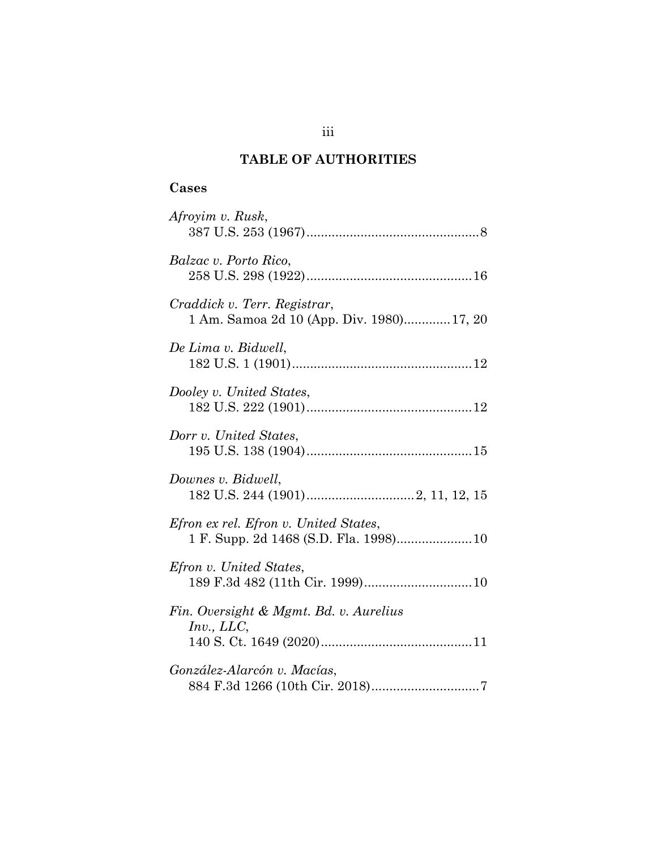# **TABLE OF AUTHORITIES**

## **Cases**

| Afroyim v. Rusk,                                                                |
|---------------------------------------------------------------------------------|
| Balzac v. Porto Rico,                                                           |
| Craddick v. Terr. Registrar,<br>1 Am. Samoa 2d 10 (App. Div. 1980)17, 20        |
| De Lima v. Bidwell,                                                             |
| Dooley v. United States,                                                        |
| Dorr v. United States,                                                          |
| Downes v. Bidwell,                                                              |
| Efron ex rel. Efron v. United States,<br>1 F. Supp. 2d 1468 (S.D. Fla. 1998) 10 |
| <i>Efron v. United States,</i>                                                  |
| Fin. Oversight & Mgmt. Bd. v. Aurelius<br>Inv, LLC,                             |
| González-Alarcón v. Macías,                                                     |

iii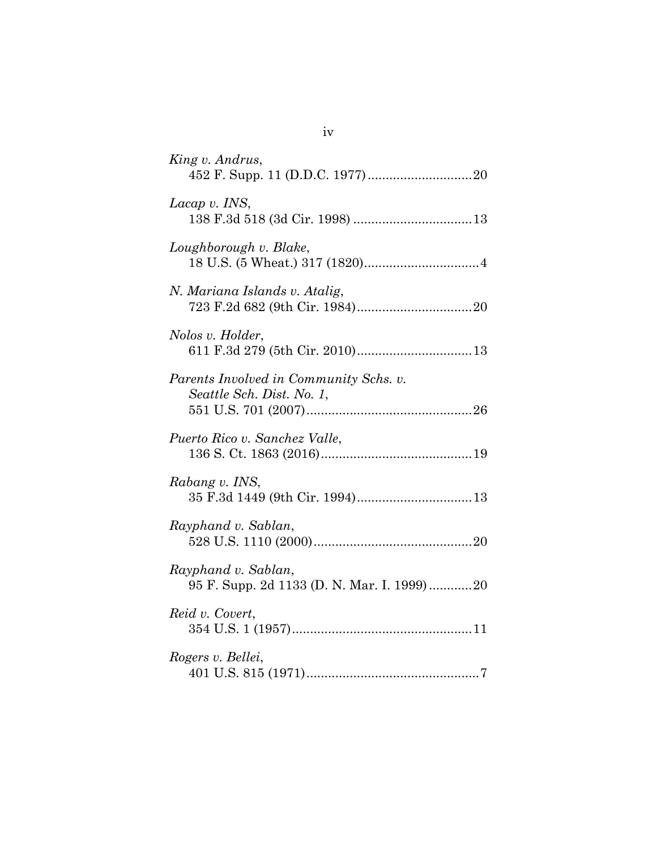| King v. Andrus,                                                     |
|---------------------------------------------------------------------|
| Lacap v. INS,                                                       |
| Loughborough v. Blake,                                              |
| N. Mariana Islands v. Atalig,                                       |
| Nolos v. Holder,                                                    |
| Parents Involved in Community Schs. v.<br>Seattle Sch. Dist. No. 1, |
| Puerto Rico v. Sanchez Valle,                                       |
| Rabang v. INS,                                                      |
| Rayphand v. Sablan,                                                 |
| Rayphand v. Sablan,<br>95 F. Supp. 2d 1133 (D. N. Mar. I. 1999)20   |
| Reid v. Covert,                                                     |
| Rogers v. Bellei,                                                   |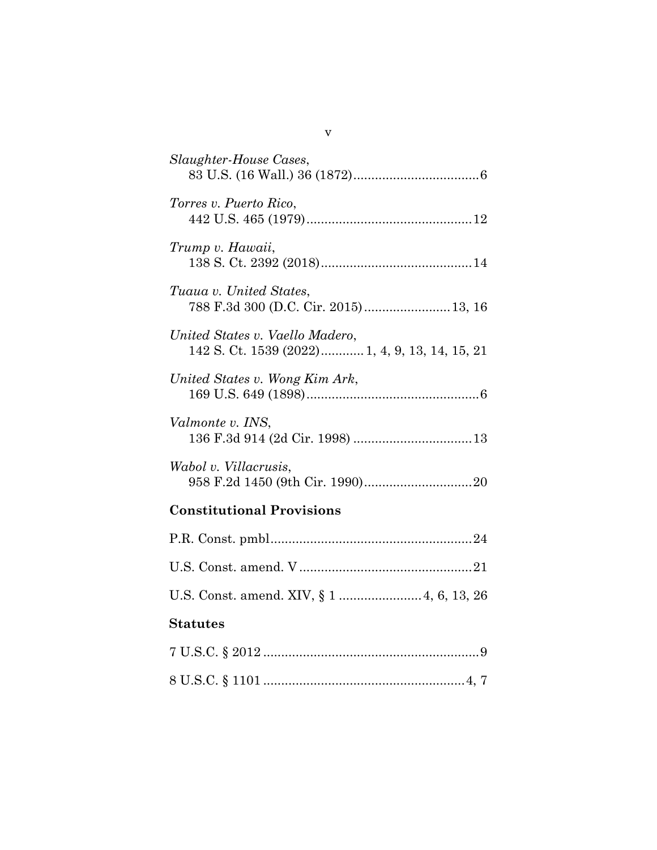| Slaughter-House Cases,                                                            |
|-----------------------------------------------------------------------------------|
| Torres v. Puerto Rico,                                                            |
| Trump v. Hawaii,                                                                  |
| Tuaua v. United States,<br>788 F.3d 300 (D.C. Cir. 2015) 13, 16                   |
| United States v. Vaello Madero,<br>142 S. Ct. 1539 (2022) 1, 4, 9, 13, 14, 15, 21 |
| United States v. Wong Kim Ark,                                                    |
| Valmonte v. INS,                                                                  |
| Wabol v. Villacrusis,                                                             |
| <b>Constitutional Provisions</b>                                                  |
|                                                                                   |
|                                                                                   |
| U.S. Const. amend. XIV, § 1  4, 6, 13, 26                                         |
| <b>Statutes</b>                                                                   |
|                                                                                   |
|                                                                                   |

v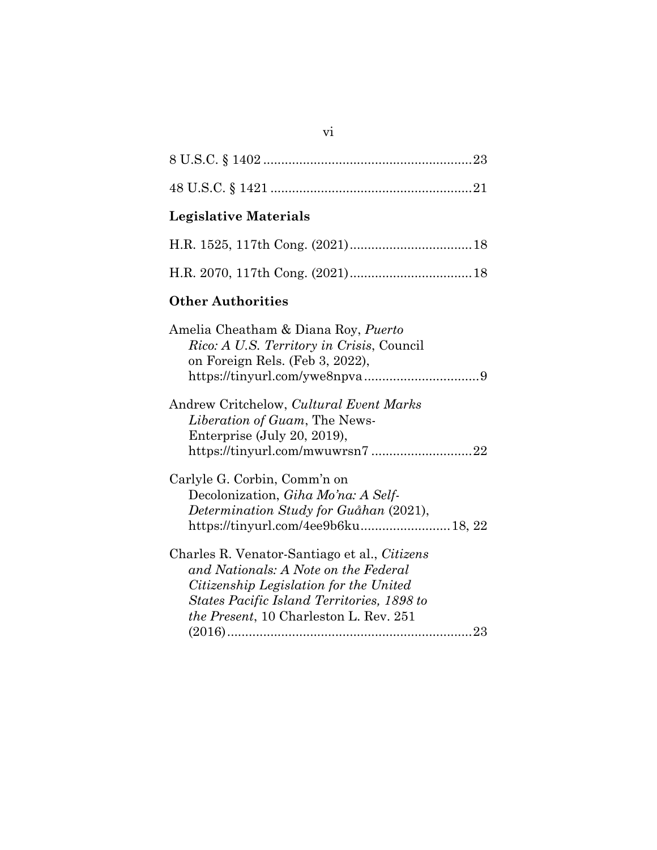| <b>Legislative Materials</b>                                                                                                                                                                                           |
|------------------------------------------------------------------------------------------------------------------------------------------------------------------------------------------------------------------------|
|                                                                                                                                                                                                                        |
|                                                                                                                                                                                                                        |
| <b>Other Authorities</b>                                                                                                                                                                                               |
| Amelia Cheatham & Diana Roy, Puerto<br>Rico: A U.S. Territory in Crisis, Council<br>on Foreign Rels. (Feb 3, 2022),                                                                                                    |
| Andrew Critchelow, Cultural Event Marks<br>Liberation of Guam, The News-<br>Enterprise (July 20, 2019),<br>https://tinyurl.com/mwuwrsn722                                                                              |
| Carlyle G. Corbin, Comm'n on<br>Decolonization, Giha Mo'na: A Self-<br>Determination Study for Guåhan (2021),<br>https://tinyurl.com/4ee9b6ku 18, 22                                                                   |
| Charles R. Venator-Santiago et al., Citizens<br>and Nationals: A Note on the Federal<br>Citizenship Legislation for the United<br>States Pacific Island Territories, 1898 to<br>the Present, 10 Charleston L. Rev. 251 |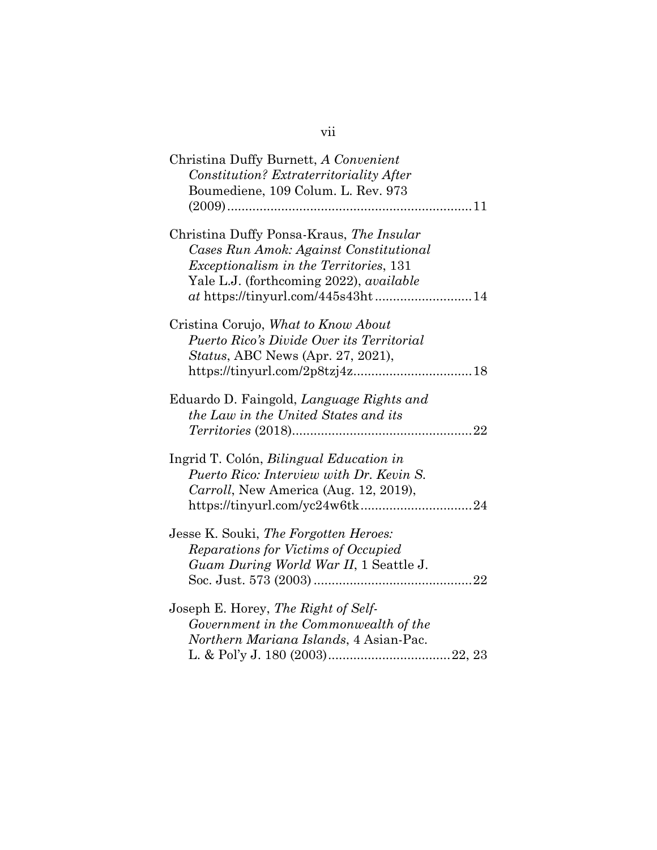| Christina Duffy Burnett, A Convenient                                            |
|----------------------------------------------------------------------------------|
| Constitution? Extraterritoriality After                                          |
| Boumediene, 109 Colum. L. Rev. 973                                               |
|                                                                                  |
| Christina Duffy Ponsa-Kraus, The Insular                                         |
| Cases Run Amok: Against Constitutional                                           |
| <i>Exceptionalism in the Territories</i> , 131                                   |
| Yale L.J. (forthcoming 2022), <i>available</i>                                   |
|                                                                                  |
| Cristina Corujo, What to Know About                                              |
| Puerto Rico's Divide Over its Territorial                                        |
| <i>Status, ABC News (Apr. 27, 2021),</i>                                         |
|                                                                                  |
| Eduardo D. Faingold, Language Rights and<br>the Law in the United States and its |
| Ingrid T. Colón, <i>Bilingual Education in</i>                                   |
| Puerto Rico: Interview with Dr. Kevin S.                                         |
|                                                                                  |
| <i>Carroll</i> , New America (Aug. 12, 2019),                                    |
|                                                                                  |
| Jesse K. Souki, The Forgotten Heroes:                                            |
| Reparations for Victims of Occupied                                              |
| Guam During World War II, 1 Seattle J.                                           |
|                                                                                  |
| Joseph E. Horey, The Right of Self-                                              |
| Government in the Commonwealth of the                                            |
| Northern Mariana Islands, 4 Asian-Pac.                                           |

L. & Pol'y J. 180 (2003) .................................. 22, 23

# vii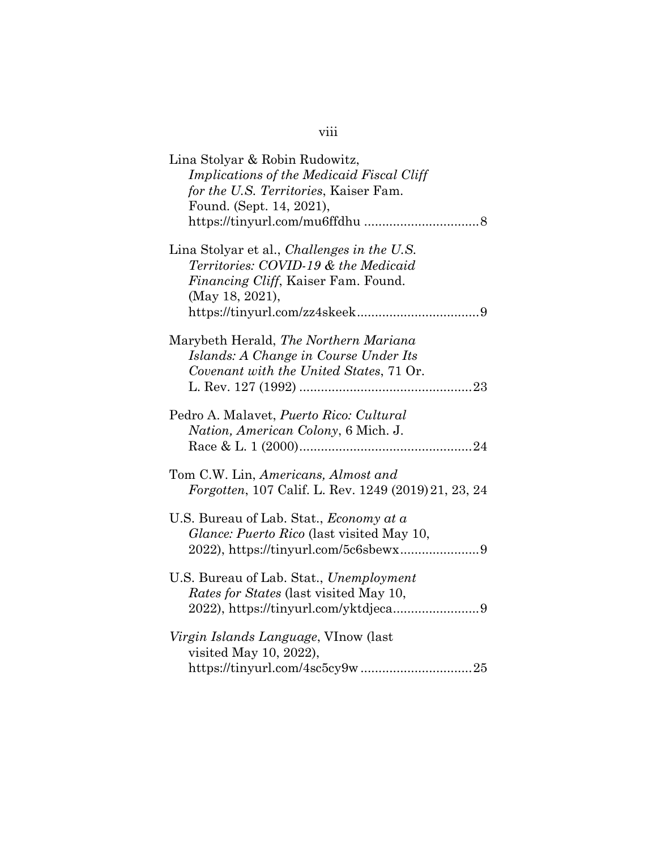| Lina Stolyar & Robin Rudowitz,<br>Implications of the Medicaid Fiscal Cliff<br>for the U.S. Territories, Kaiser Fam.<br>Found. (Sept. 14, 2021),     |
|------------------------------------------------------------------------------------------------------------------------------------------------------|
| Lina Stolyar et al., <i>Challenges in the U.S.</i><br>Territories: COVID-19 & the Medicaid<br>Financing Cliff, Kaiser Fam. Found.<br>(May 18, 2021), |
| Marybeth Herald, The Northern Mariana<br>Islands: A Change in Course Under Its<br>Covenant with the United States, 71 Or.                            |
| Pedro A. Malavet, <i>Puerto Rico: Cultural</i><br>Nation, American Colony, 6 Mich. J.                                                                |
| Tom C.W. Lin, Americans, Almost and<br><i>Forgotten, 107 Calif. L. Rev. 1249 (2019) 21, 23, 24</i>                                                   |
| U.S. Bureau of Lab. Stat., Economy at a<br>Glance: Puerto Rico (last visited May 10,                                                                 |
| U.S. Bureau of Lab. Stat., Unemployment<br><i>Rates for States</i> (last visited May 10,                                                             |
| <i>Virgin Islands Language</i> , VInow (last<br>visited May 10, 2022),                                                                               |

# viii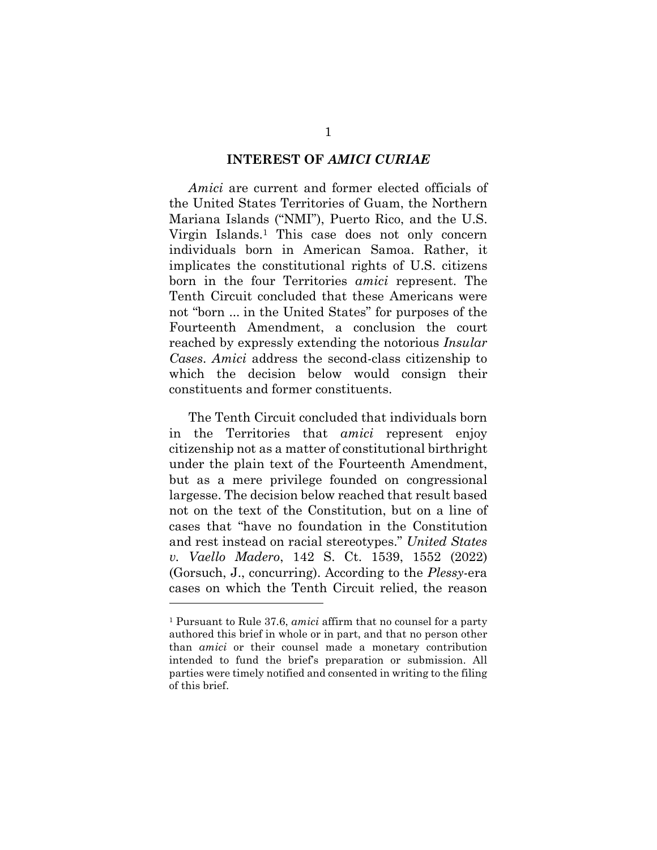#### **INTEREST OF** *AMICI CURIAE*

*Amici* are current and former elected officials of the United States Territories of Guam, the Northern Mariana Islands ("NMI"), Puerto Rico, and the U.S. Virgin Islands.1 This case does not only concern individuals born in American Samoa. Rather, it implicates the constitutional rights of U.S. citizens born in the four Territories *amici* represent. The Tenth Circuit concluded that these Americans were not "born ... in the United States" for purposes of the Fourteenth Amendment, a conclusion the court reached by expressly extending the notorious *Insular Cases*. *Amici* address the second-class citizenship to which the decision below would consign their constituents and former constituents.

The Tenth Circuit concluded that individuals born in the Territories that *amici* represent enjoy citizenship not as a matter of constitutional birthright under the plain text of the Fourteenth Amendment, but as a mere privilege founded on congressional largesse. The decision below reached that result based not on the text of the Constitution, but on a line of cases that "have no foundation in the Constitution and rest instead on racial stereotypes." *United States v. Vaello Madero*, 142 S. Ct. 1539, 1552 (2022) (Gorsuch, J., concurring). According to the *Plessy*-era cases on which the Tenth Circuit relied, the reason

<sup>1</sup> Pursuant to Rule 37.6, *amici* affirm that no counsel for a party authored this brief in whole or in part, and that no person other than *amici* or their counsel made a monetary contribution intended to fund the brief's preparation or submission. All parties were timely notified and consented in writing to the filing of this brief.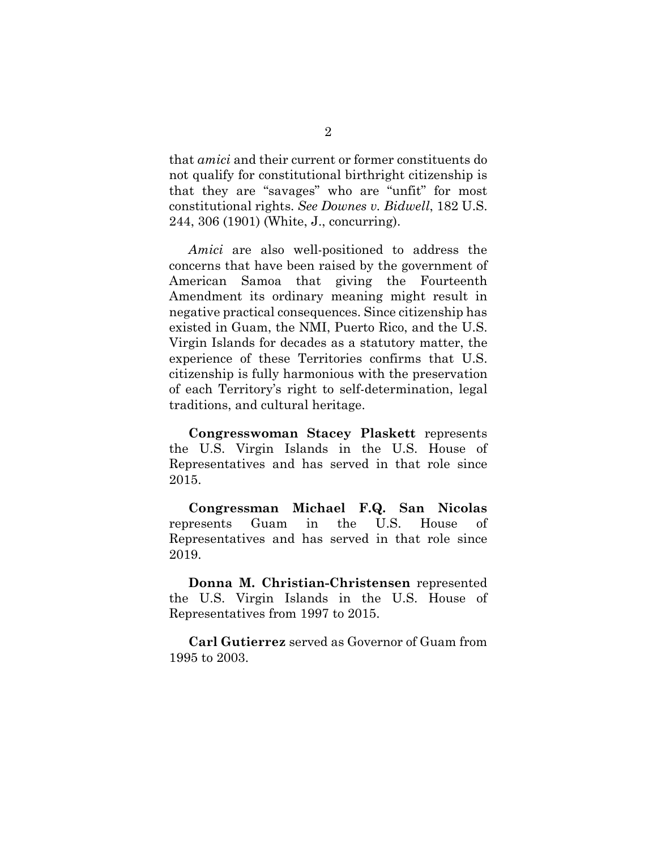that *amici* and their current or former constituents do not qualify for constitutional birthright citizenship is that they are "savages" who are "unfit" for most constitutional rights. *See Downes v. Bidwell*, 182 U.S. 244, 306 (1901) (White, J., concurring).

*Amici* are also well-positioned to address the concerns that have been raised by the government of American Samoa that giving the Fourteenth Amendment its ordinary meaning might result in negative practical consequences. Since citizenship has existed in Guam, the NMI, Puerto Rico, and the U.S. Virgin Islands for decades as a statutory matter, the experience of these Territories confirms that U.S. citizenship is fully harmonious with the preservation of each Territory's right to self-determination, legal traditions, and cultural heritage.

**Congresswoman Stacey Plaskett** represents the U.S. Virgin Islands in the U.S. House of Representatives and has served in that role since 2015.

**Congressman Michael F.Q. San Nicolas**  represents Guam in the U.S. House of Representatives and has served in that role since 2019.

**Donna M. Christian-Christensen** represented the U.S. Virgin Islands in the U.S. House of Representatives from 1997 to 2015.

**Carl Gutierrez** served as Governor of Guam from 1995 to 2003.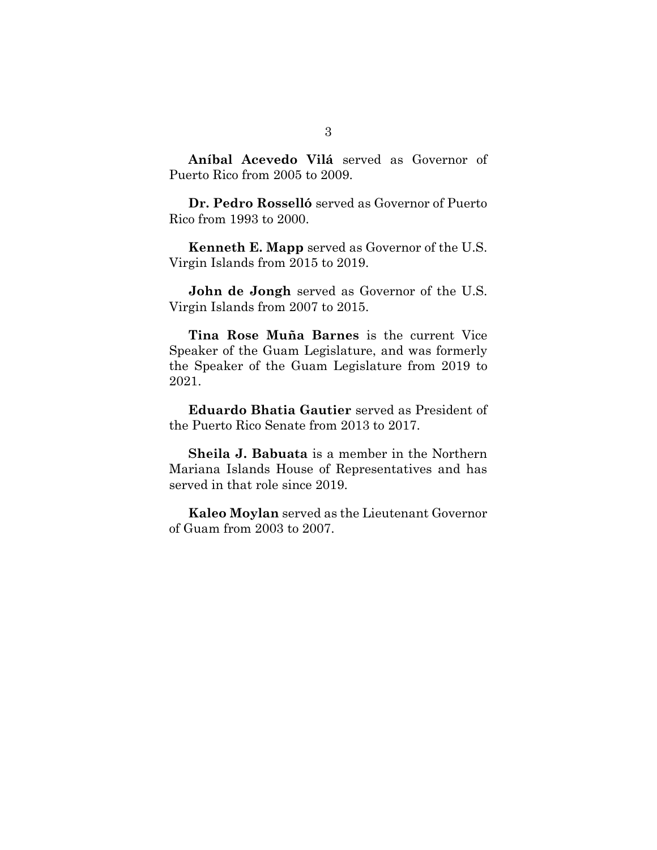**Aníbal Acevedo Vilá** served as Governor of Puerto Rico from 2005 to 2009.

**Dr. Pedro Rosselló** served as Governor of Puerto Rico from 1993 to 2000.

**Kenneth E. Mapp** served as Governor of the U.S. Virgin Islands from 2015 to 2019.

**John de Jongh** served as Governor of the U.S. Virgin Islands from 2007 to 2015.

**Tina Rose Muña Barnes** is the current Vice Speaker of the Guam Legislature, and was formerly the Speaker of the Guam Legislature from 2019 to 2021.

**Eduardo Bhatia Gautier** served as President of the Puerto Rico Senate from 2013 to 2017.

**Sheila J. Babuata** is a member in the Northern Mariana Islands House of Representatives and has served in that role since 2019.

**Kaleo Moylan** served as the Lieutenant Governor of Guam from 2003 to 2007.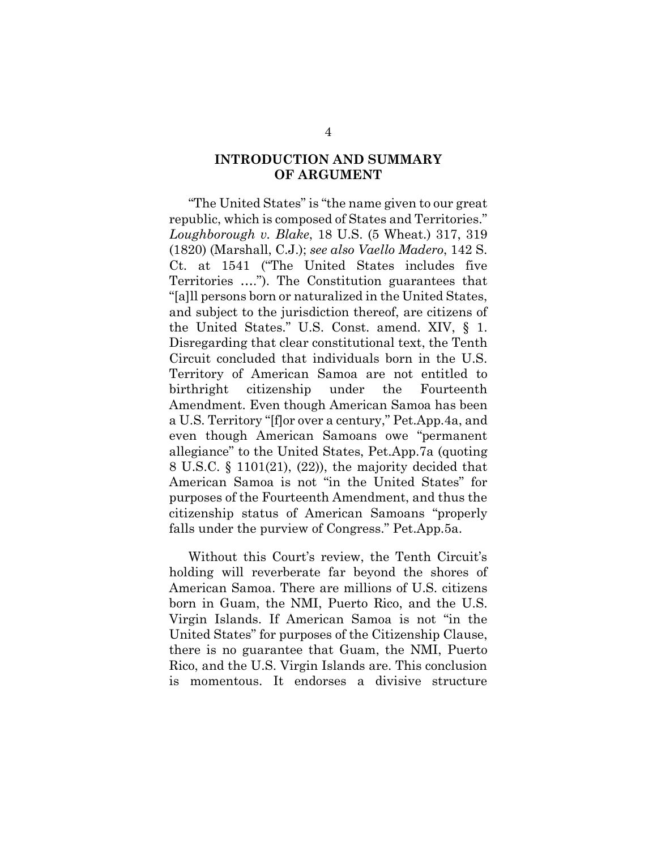## **INTRODUCTION AND SUMMARY OF ARGUMENT**

"The United States" is "the name given to our great republic, which is composed of States and Territories." *Loughborough v. Blake*, 18 U.S. (5 Wheat.) 317, 319 (1820) (Marshall, C.J.); *see also Vaello Madero*, 142 S. Ct. at 1541 ("The United States includes five Territories …."). The Constitution guarantees that "[a]ll persons born or naturalized in the United States, and subject to the jurisdiction thereof, are citizens of the United States." U.S. Const. amend. XIV, § 1. Disregarding that clear constitutional text, the Tenth Circuit concluded that individuals born in the U.S. Territory of American Samoa are not entitled to birthright citizenship under the Fourteenth Amendment. Even though American Samoa has been a U.S. Territory "[f]or over a century," Pet.App.4a, and even though American Samoans owe "permanent allegiance" to the United States, Pet.App.7a (quoting 8 U.S.C. § 1101(21), (22)), the majority decided that American Samoa is not "in the United States" for purposes of the Fourteenth Amendment, and thus the citizenship status of American Samoans "properly falls under the purview of Congress." Pet.App.5a.

Without this Court's review, the Tenth Circuit's holding will reverberate far beyond the shores of American Samoa. There are millions of U.S. citizens born in Guam, the NMI, Puerto Rico, and the U.S. Virgin Islands. If American Samoa is not "in the United States" for purposes of the Citizenship Clause, there is no guarantee that Guam, the NMI, Puerto Rico, and the U.S. Virgin Islands are. This conclusion is momentous. It endorses a divisive structure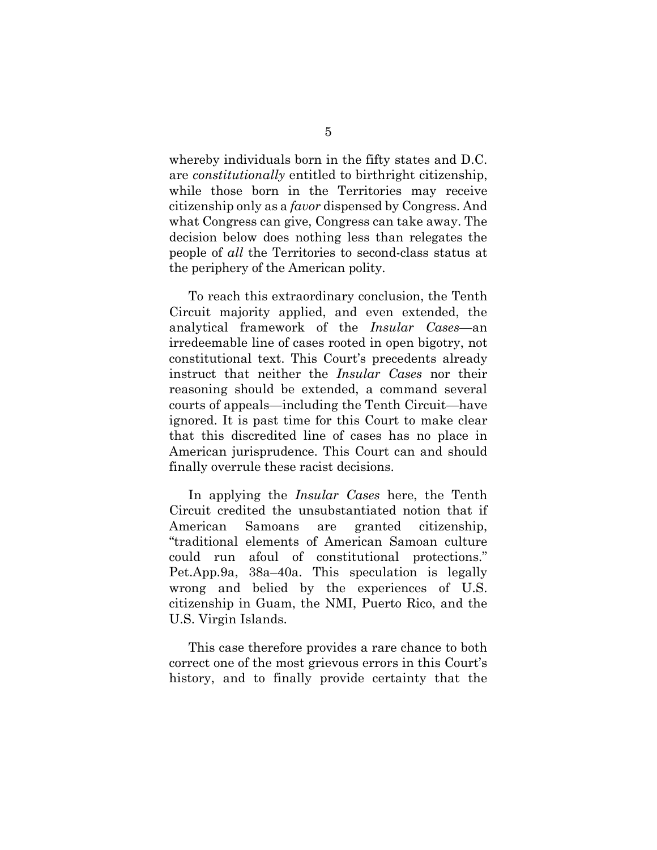whereby individuals born in the fifty states and D.C. are *constitutionally* entitled to birthright citizenship, while those born in the Territories may receive citizenship only as a *favor* dispensed by Congress. And what Congress can give, Congress can take away. The decision below does nothing less than relegates the people of *all* the Territories to second-class status at the periphery of the American polity.

To reach this extraordinary conclusion, the Tenth Circuit majority applied, and even extended, the analytical framework of the *Insular Cases*—an irredeemable line of cases rooted in open bigotry, not constitutional text. This Court's precedents already instruct that neither the *Insular Cases* nor their reasoning should be extended, a command several courts of appeals—including the Tenth Circuit—have ignored. It is past time for this Court to make clear that this discredited line of cases has no place in American jurisprudence. This Court can and should finally overrule these racist decisions.

In applying the *Insular Cases* here, the Tenth Circuit credited the unsubstantiated notion that if American Samoans are granted citizenship, "traditional elements of American Samoan culture could run afoul of constitutional protections." Pet.App.9a, 38a–40a. This speculation is legally wrong and belied by the experiences of U.S. citizenship in Guam, the NMI, Puerto Rico, and the U.S. Virgin Islands.

This case therefore provides a rare chance to both correct one of the most grievous errors in this Court's history, and to finally provide certainty that the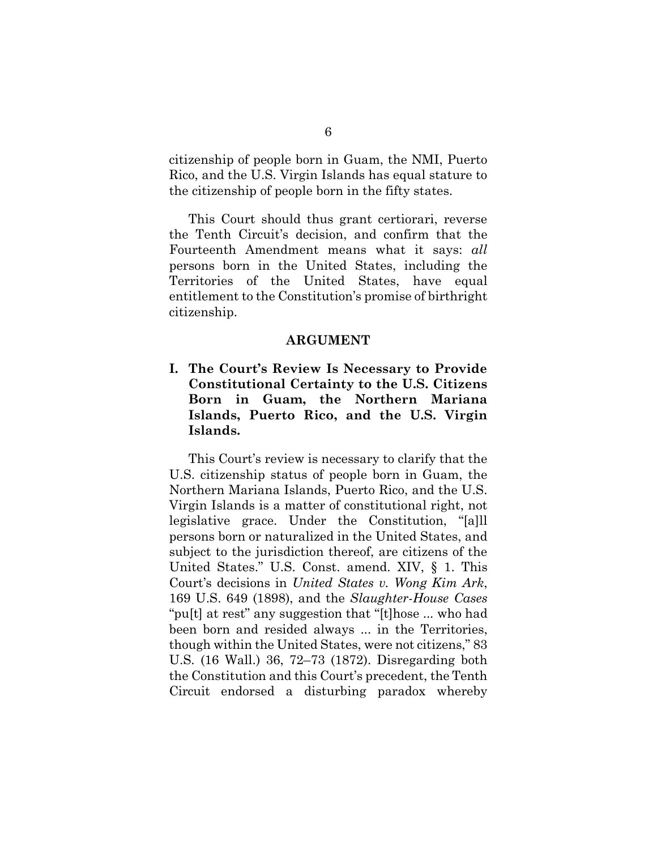citizenship of people born in Guam, the NMI, Puerto Rico, and the U.S. Virgin Islands has equal stature to the citizenship of people born in the fifty states.

This Court should thus grant certiorari, reverse the Tenth Circuit's decision, and confirm that the Fourteenth Amendment means what it says: *all* persons born in the United States, including the Territories of the United States, have equal entitlement to the Constitution's promise of birthright citizenship.

#### **ARGUMENT**

**I. The Court's Review Is Necessary to Provide Constitutional Certainty to the U.S. Citizens Born in Guam, the Northern Mariana Islands, Puerto Rico, and the U.S. Virgin Islands.** 

This Court's review is necessary to clarify that the U.S. citizenship status of people born in Guam, the Northern Mariana Islands, Puerto Rico, and the U.S. Virgin Islands is a matter of constitutional right, not legislative grace. Under the Constitution, "[a]ll persons born or naturalized in the United States, and subject to the jurisdiction thereof, are citizens of the United States." U.S. Const. amend. XIV, § 1. This Court's decisions in *United States v. Wong Kim Ark*, 169 U.S. 649 (1898), and the *Slaughter-House Cases* "pu[t] at rest" any suggestion that "[t]hose ... who had been born and resided always ... in the Territories, though within the United States, were not citizens," 83 U.S. (16 Wall.) 36, 72–73 (1872). Disregarding both the Constitution and this Court's precedent, the Tenth Circuit endorsed a disturbing paradox whereby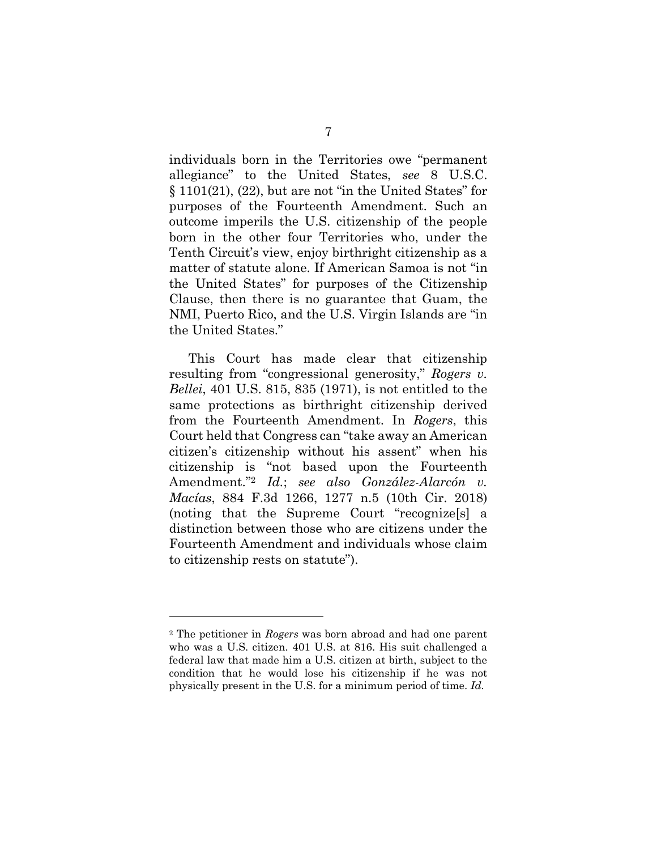individuals born in the Territories owe "permanent allegiance" to the United States, *see* 8 U.S.C.  $\S 1101(21)$ ,  $(22)$ , but are not "in the United States" for purposes of the Fourteenth Amendment. Such an outcome imperils the U.S. citizenship of the people born in the other four Territories who, under the Tenth Circuit's view, enjoy birthright citizenship as a matter of statute alone. If American Samoa is not "in the United States" for purposes of the Citizenship Clause, then there is no guarantee that Guam, the NMI, Puerto Rico, and the U.S. Virgin Islands are "in the United States."

This Court has made clear that citizenship resulting from "congressional generosity," *Rogers v. Bellei*, 401 U.S. 815, 835 (1971), is not entitled to the same protections as birthright citizenship derived from the Fourteenth Amendment. In *Rogers*, this Court held that Congress can "take away an American citizen's citizenship without his assent" when his citizenship is "not based upon the Fourteenth Amendment."<sup>2</sup> *Id.*; *see also González-Alarcón v. Macías*, 884 F.3d 1266, 1277 n.5 (10th Cir. 2018) (noting that the Supreme Court "recognize[s] a distinction between those who are citizens under the Fourteenth Amendment and individuals whose claim to citizenship rests on statute").

<sup>2</sup> The petitioner in *Rogers* was born abroad and had one parent who was a U.S. citizen. 401 U.S. at 816. His suit challenged a federal law that made him a U.S. citizen at birth, subject to the condition that he would lose his citizenship if he was not physically present in the U.S. for a minimum period of time. *Id.*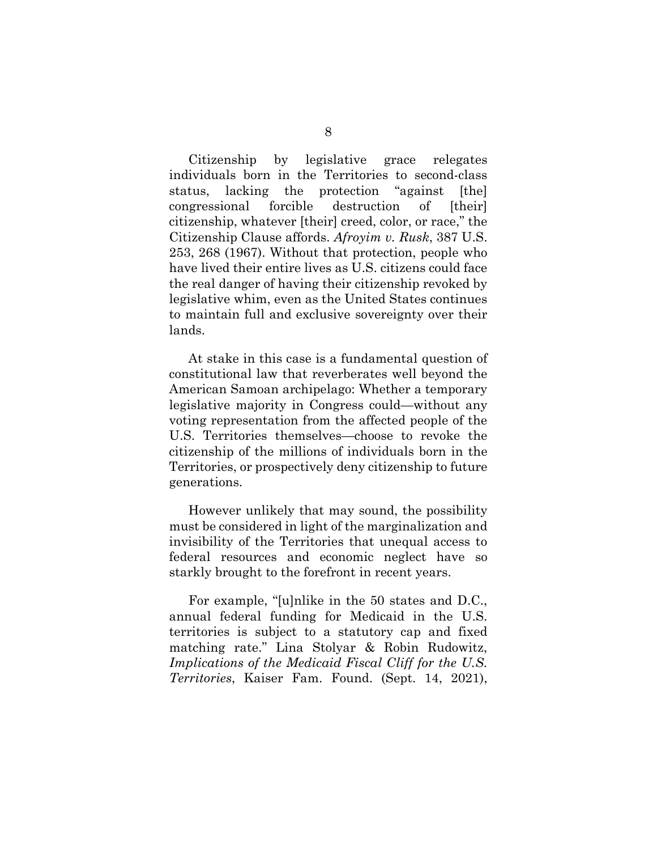Citizenship by legislative grace relegates individuals born in the Territories to second-class status, lacking the protection "against [the] congressional forcible destruction of [their] citizenship, whatever [their] creed, color, or race," the Citizenship Clause affords. *Afroyim v. Rusk*, 387 U.S. 253, 268 (1967). Without that protection, people who have lived their entire lives as U.S. citizens could face the real danger of having their citizenship revoked by legislative whim, even as the United States continues to maintain full and exclusive sovereignty over their lands.

At stake in this case is a fundamental question of constitutional law that reverberates well beyond the American Samoan archipelago: Whether a temporary legislative majority in Congress could—without any voting representation from the affected people of the U.S. Territories themselves—choose to revoke the citizenship of the millions of individuals born in the Territories, or prospectively deny citizenship to future generations.

However unlikely that may sound, the possibility must be considered in light of the marginalization and invisibility of the Territories that unequal access to federal resources and economic neglect have so starkly brought to the forefront in recent years.

For example, "[u]nlike in the 50 states and D.C., annual federal funding for Medicaid in the U.S. territories is subject to a statutory cap and fixed matching rate." Lina Stolyar & Robin Rudowitz, *Implications of the Medicaid Fiscal Cliff for the U.S. Territories*, Kaiser Fam. Found. (Sept. 14, 2021),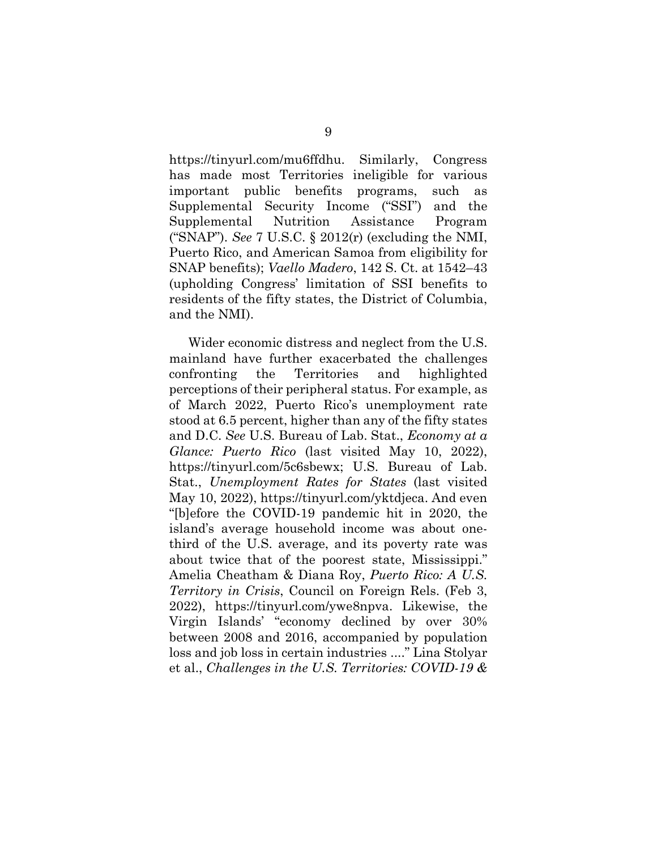https://tinyurl.com/mu6ffdhu. Similarly, Congress has made most Territories ineligible for various important public benefits programs, such as Supplemental Security Income ("SSI") and the Supplemental Nutrition Assistance Program ("SNAP"). *See* 7 U.S.C. § 2012(r) (excluding the NMI, Puerto Rico, and American Samoa from eligibility for SNAP benefits); *Vaello Madero*, 142 S. Ct. at 1542–43 (upholding Congress' limitation of SSI benefits to residents of the fifty states, the District of Columbia, and the NMI).

Wider economic distress and neglect from the U.S. mainland have further exacerbated the challenges confronting the Territories and highlighted perceptions of their peripheral status. For example, as of March 2022, Puerto Rico's unemployment rate stood at 6.5 percent, higher than any of the fifty states and D.C. *See* U.S. Bureau of Lab. Stat., *Economy at a Glance: Puerto Rico* (last visited May 10, 2022), https://tinyurl.com/5c6sbewx; U.S. Bureau of Lab. Stat., *Unemployment Rates for States* (last visited May 10, 2022), https://tinyurl.com/yktdjeca. And even "[b]efore the COVID-19 pandemic hit in 2020, the island's average household income was about onethird of the U.S. average, and its poverty rate was about twice that of the poorest state, Mississippi." Amelia Cheatham & Diana Roy, *Puerto Rico: A U.S. Territory in Crisis*, Council on Foreign Rels. (Feb 3, 2022), https://tinyurl.com/ywe8npva. Likewise, the Virgin Islands' "economy declined by over 30% between 2008 and 2016, accompanied by population loss and job loss in certain industries ...." Lina Stolyar et al., *Challenges in the U.S. Territories: COVID-19 &*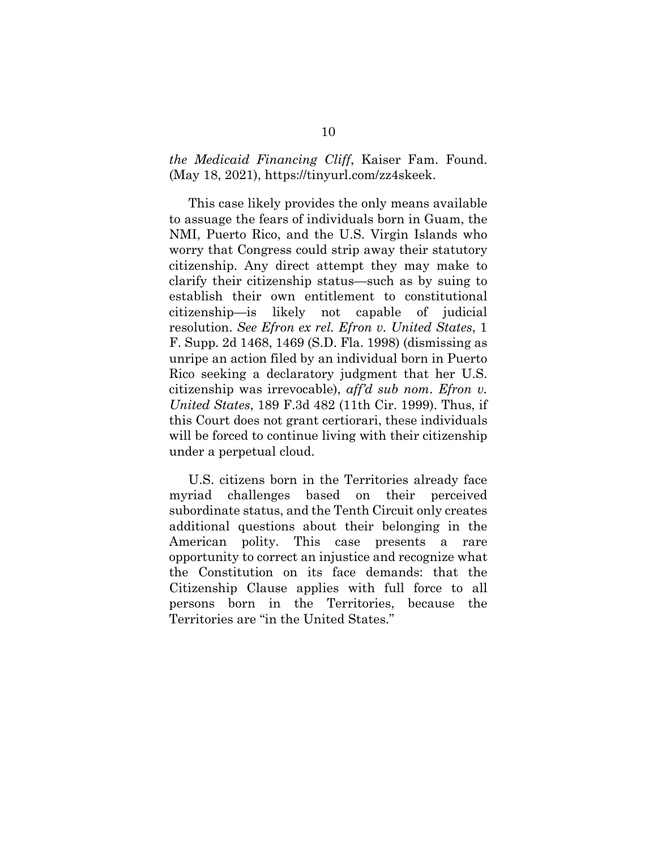*the Medicaid Financing Cliff*, Kaiser Fam. Found. (May 18, 2021), https://tinyurl.com/zz4skeek.

This case likely provides the only means available to assuage the fears of individuals born in Guam, the NMI, Puerto Rico, and the U.S. Virgin Islands who worry that Congress could strip away their statutory citizenship. Any direct attempt they may make to clarify their citizenship status—such as by suing to establish their own entitlement to constitutional citizenship—is likely not capable of judicial resolution. *See Efron ex rel. Efron v. United States*, 1 F. Supp. 2d 1468, 1469 (S.D. Fla. 1998) (dismissing as unripe an action filed by an individual born in Puerto Rico seeking a declaratory judgment that her U.S. citizenship was irrevocable), *aff'd sub nom*. *Efron v. United States*, 189 F.3d 482 (11th Cir. 1999). Thus, if this Court does not grant certiorari, these individuals will be forced to continue living with their citizenship under a perpetual cloud.

U.S. citizens born in the Territories already face myriad challenges based on their perceived subordinate status, and the Tenth Circuit only creates additional questions about their belonging in the American polity. This case presents a rare opportunity to correct an injustice and recognize what the Constitution on its face demands: that the Citizenship Clause applies with full force to all persons born in the Territories, because the Territories are "in the United States."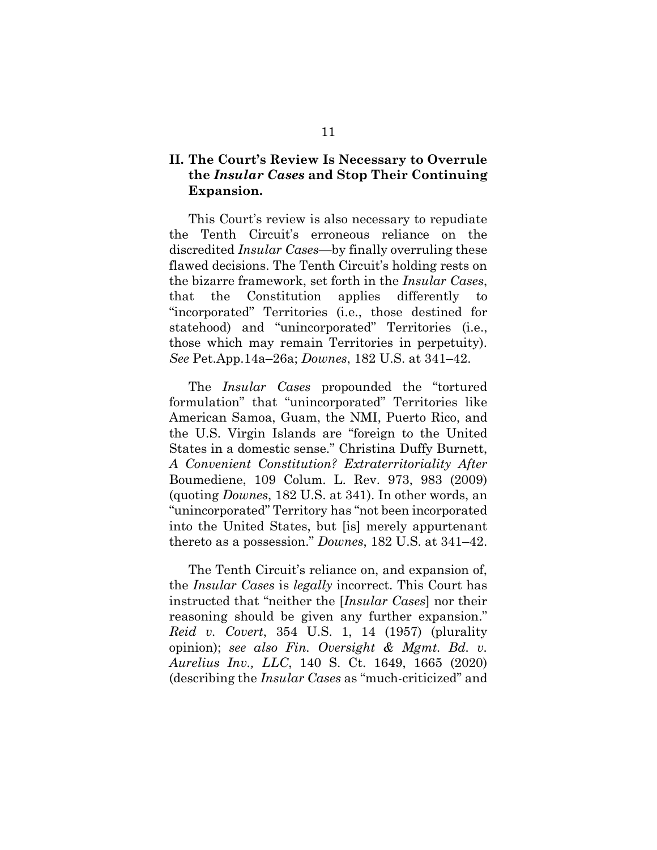## **II. The Court's Review Is Necessary to Overrule the** *Insular Cases* **and Stop Their Continuing Expansion.**

This Court's review is also necessary to repudiate the Tenth Circuit's erroneous reliance on the discredited *Insular Cases*—by finally overruling these flawed decisions. The Tenth Circuit's holding rests on the bizarre framework, set forth in the *Insular Cases*, that the Constitution applies differently to "incorporated" Territories (i.e., those destined for statehood) and "unincorporated" Territories (i.e., those which may remain Territories in perpetuity). *See* Pet.App.14a–26a; *Downes*, 182 U.S. at 341–42.

The *Insular Cases* propounded the "tortured formulation" that "unincorporated" Territories like American Samoa, Guam, the NMI, Puerto Rico, and the U.S. Virgin Islands are "foreign to the United States in a domestic sense." Christina Duffy Burnett, *A Convenient Constitution? Extraterritoriality After*  Boumediene, 109 Colum. L. Rev. 973, 983 (2009) (quoting *Downes*, 182 U.S. at 341). In other words, an "unincorporated" Territory has "not been incorporated into the United States, but [is] merely appurtenant thereto as a possession." *Downes*, 182 U.S. at 341–42.

The Tenth Circuit's reliance on, and expansion of, the *Insular Cases* is *legally* incorrect. This Court has instructed that "neither the [*Insular Cases*] nor their reasoning should be given any further expansion." *Reid v. Covert*, 354 U.S. 1, 14 (1957) (plurality opinion); *see also Fin. Oversight & Mgmt. Bd. v. Aurelius Inv., LLC*, 140 S. Ct. 1649, 1665 (2020) (describing the *Insular Cases* as "much-criticized" and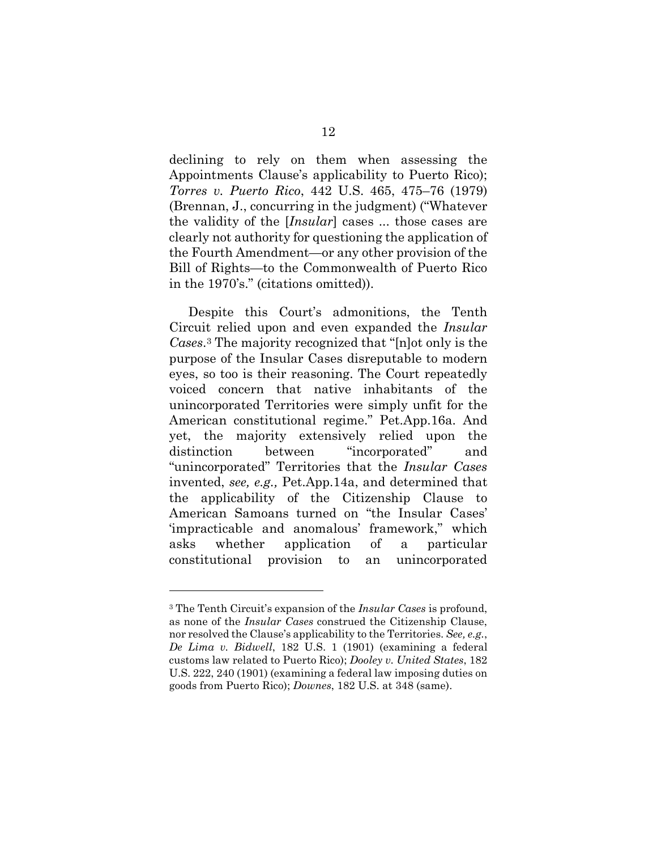declining to rely on them when assessing the Appointments Clause's applicability to Puerto Rico); *Torres v. Puerto Rico*, 442 U.S. 465, 475–76 (1979) (Brennan, J., concurring in the judgment) ("Whatever the validity of the [*Insular*] cases ... those cases are clearly not authority for questioning the application of the Fourth Amendment—or any other provision of the Bill of Rights—to the Commonwealth of Puerto Rico in the 1970's." (citations omitted)).

Despite this Court's admonitions, the Tenth Circuit relied upon and even expanded the *Insular Cases*. <sup>3</sup> The majority recognized that "[n]ot only is the purpose of the Insular Cases disreputable to modern eyes, so too is their reasoning. The Court repeatedly voiced concern that native inhabitants of the unincorporated Territories were simply unfit for the American constitutional regime." Pet.App.16a. And yet, the majority extensively relied upon the distinction between "incorporated" and "unincorporated" Territories that the *Insular Cases* invented, *see, e.g.,* Pet.App.14a, and determined that the applicability of the Citizenship Clause to American Samoans turned on "the Insular Cases' 'impracticable and anomalous' framework," which asks whether application of a particular constitutional provision to an unincorporated

<sup>3</sup> The Tenth Circuit's expansion of the *Insular Cases* is profound, as none of the *Insular Cases* construed the Citizenship Clause, nor resolved the Clause's applicability to the Territories. *See, e.g.*, *De Lima v. Bidwell*, 182 U.S. 1 (1901) (examining a federal customs law related to Puerto Rico); *Dooley v. United States*, 182 U.S. 222, 240 (1901) (examining a federal law imposing duties on goods from Puerto Rico); *Downes*, 182 U.S. at 348 (same).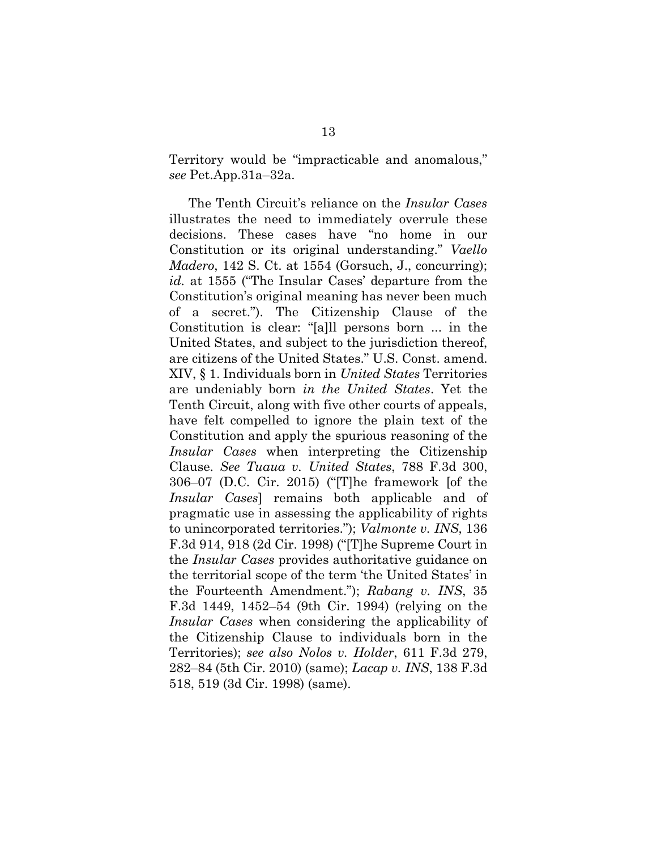Territory would be "impracticable and anomalous," *see* Pet.App.31a–32a.

The Tenth Circuit's reliance on the *Insular Cases* illustrates the need to immediately overrule these decisions. These cases have "no home in our Constitution or its original understanding." *Vaello Madero*, 142 S. Ct. at 1554 (Gorsuch, J., concurring); *id.* at 1555 ("The Insular Cases' departure from the Constitution's original meaning has never been much of a secret."). The Citizenship Clause of the Constitution is clear: "[a]ll persons born ... in the United States, and subject to the jurisdiction thereof, are citizens of the United States." U.S. Const. amend. XIV, § 1. Individuals born in *United States* Territories are undeniably born *in the United States*. Yet the Tenth Circuit, along with five other courts of appeals, have felt compelled to ignore the plain text of the Constitution and apply the spurious reasoning of the *Insular Cases* when interpreting the Citizenship Clause. *See Tuaua v. United States*, 788 F.3d 300, 306–07 (D.C. Cir. 2015) ("[T]he framework [of the *Insular Cases*] remains both applicable and of pragmatic use in assessing the applicability of rights to unincorporated territories."); *Valmonte v. INS*, 136 F.3d 914, 918 (2d Cir. 1998) ("[T]he Supreme Court in the *Insular Cases* provides authoritative guidance on the territorial scope of the term 'the United States' in the Fourteenth Amendment."); *Rabang v. INS*, 35 F.3d 1449, 1452–54 (9th Cir. 1994) (relying on the *Insular Cases* when considering the applicability of the Citizenship Clause to individuals born in the Territories); *see also Nolos v. Holder*, 611 F.3d 279, 282–84 (5th Cir. 2010) (same); *Lacap v. INS*, 138 F.3d 518, 519 (3d Cir. 1998) (same).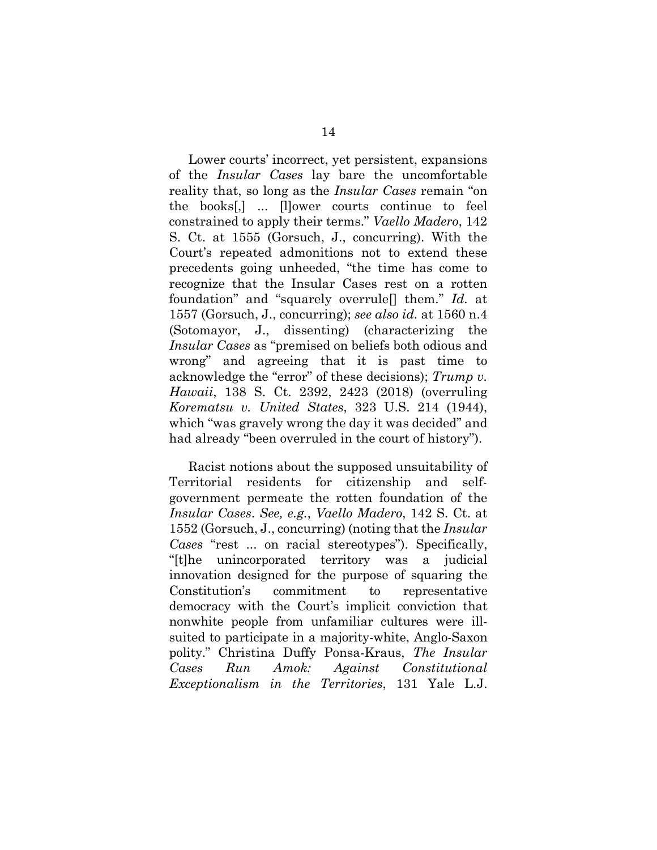Lower courts' incorrect, yet persistent, expansions of the *Insular Cases* lay bare the uncomfortable reality that, so long as the *Insular Cases* remain "on the books[,] ... [l]ower courts continue to feel constrained to apply their terms." *Vaello Madero*, 142 S. Ct. at 1555 (Gorsuch, J., concurring). With the Court's repeated admonitions not to extend these precedents going unheeded, "the time has come to recognize that the Insular Cases rest on a rotten foundation" and "squarely overrule[] them." *Id.* at 1557 (Gorsuch, J., concurring); *see also id.* at 1560 n.4 (Sotomayor, J., dissenting) (characterizing the *Insular Cases* as "premised on beliefs both odious and wrong" and agreeing that it is past time to acknowledge the "error" of these decisions); *Trump v. Hawaii*, 138 S. Ct. 2392, 2423 (2018) (overruling *Korematsu v. United States*, 323 U.S. 214 (1944), which "was gravely wrong the day it was decided" and had already "been overruled in the court of history").

Racist notions about the supposed unsuitability of Territorial residents for citizenship and selfgovernment permeate the rotten foundation of the *Insular Cases*. *See, e.g.*, *Vaello Madero*, 142 S. Ct. at 1552 (Gorsuch, J., concurring) (noting that the *Insular Cases* "rest ... on racial stereotypes"). Specifically, "[t]he unincorporated territory was a judicial innovation designed for the purpose of squaring the Constitution's commitment to representative democracy with the Court's implicit conviction that nonwhite people from unfamiliar cultures were illsuited to participate in a majority-white, Anglo-Saxon polity." Christina Duffy Ponsa-Kraus, *The Insular Cases Run Amok: Against Constitutional Exceptionalism in the Territories*, 131 Yale L.J.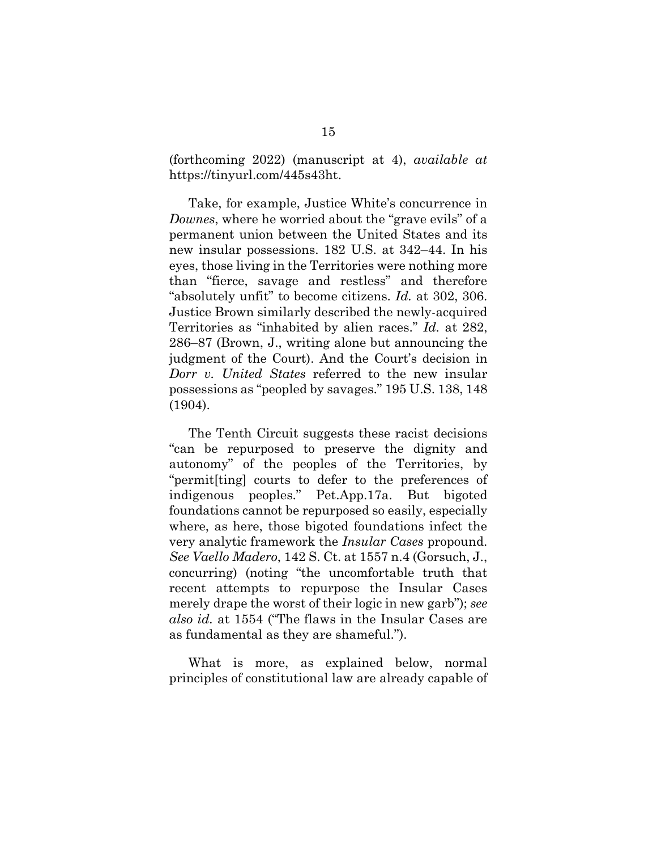(forthcoming 2022) (manuscript at 4), *available at*  https://tinyurl.com/445s43ht.

Take, for example, Justice White's concurrence in *Downes*, where he worried about the "grave evils" of a permanent union between the United States and its new insular possessions. 182 U.S. at 342–44. In his eyes, those living in the Territories were nothing more than "fierce, savage and restless" and therefore "absolutely unfit" to become citizens. *Id.* at 302, 306. Justice Brown similarly described the newly-acquired Territories as "inhabited by alien races." *Id.* at 282, 286–87 (Brown, J., writing alone but announcing the judgment of the Court). And the Court's decision in *Dorr v. United States* referred to the new insular possessions as "peopled by savages." 195 U.S. 138, 148 (1904).

The Tenth Circuit suggests these racist decisions "can be repurposed to preserve the dignity and autonomy" of the peoples of the Territories, by "permit[ting] courts to defer to the preferences of indigenous peoples." Pet.App.17a. But bigoted foundations cannot be repurposed so easily, especially where, as here, those bigoted foundations infect the very analytic framework the *Insular Cases* propound. *See Vaello Madero*, 142 S. Ct. at 1557 n.4 (Gorsuch, J., concurring) (noting "the uncomfortable truth that recent attempts to repurpose the Insular Cases merely drape the worst of their logic in new garb"); *see also id.* at 1554 ("The flaws in the Insular Cases are as fundamental as they are shameful.").

What is more, as explained below, normal principles of constitutional law are already capable of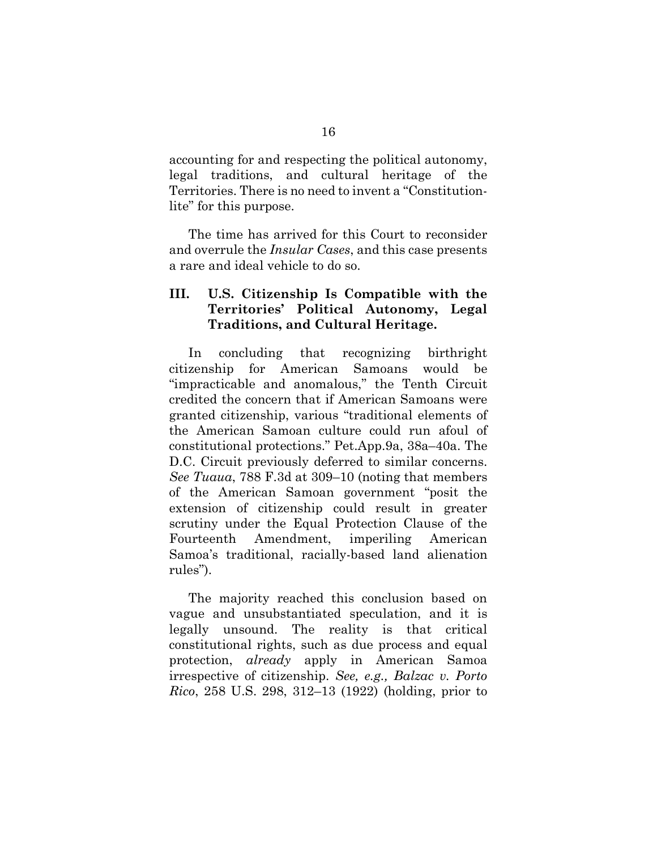accounting for and respecting the political autonomy, legal traditions, and cultural heritage of the Territories. There is no need to invent a "Constitutionlite" for this purpose.

The time has arrived for this Court to reconsider and overrule the *Insular Cases*, and this case presents a rare and ideal vehicle to do so.

## **III. U.S. Citizenship Is Compatible with the Territories' Political Autonomy, Legal Traditions, and Cultural Heritage.**

In concluding that recognizing birthright citizenship for American Samoans would be "impracticable and anomalous," the Tenth Circuit credited the concern that if American Samoans were granted citizenship, various "traditional elements of the American Samoan culture could run afoul of constitutional protections." Pet.App.9a, 38a–40a. The D.C. Circuit previously deferred to similar concerns. *See Tuaua*, 788 F.3d at 309–10 (noting that members of the American Samoan government "posit the extension of citizenship could result in greater scrutiny under the Equal Protection Clause of the Fourteenth Amendment, imperiling American Samoa's traditional, racially-based land alienation rules").

The majority reached this conclusion based on vague and unsubstantiated speculation, and it is legally unsound. The reality is that critical constitutional rights, such as due process and equal protection, *already* apply in American Samoa irrespective of citizenship. *See, e.g., Balzac v. Porto Rico*, 258 U.S. 298, 312–13 (1922) (holding, prior to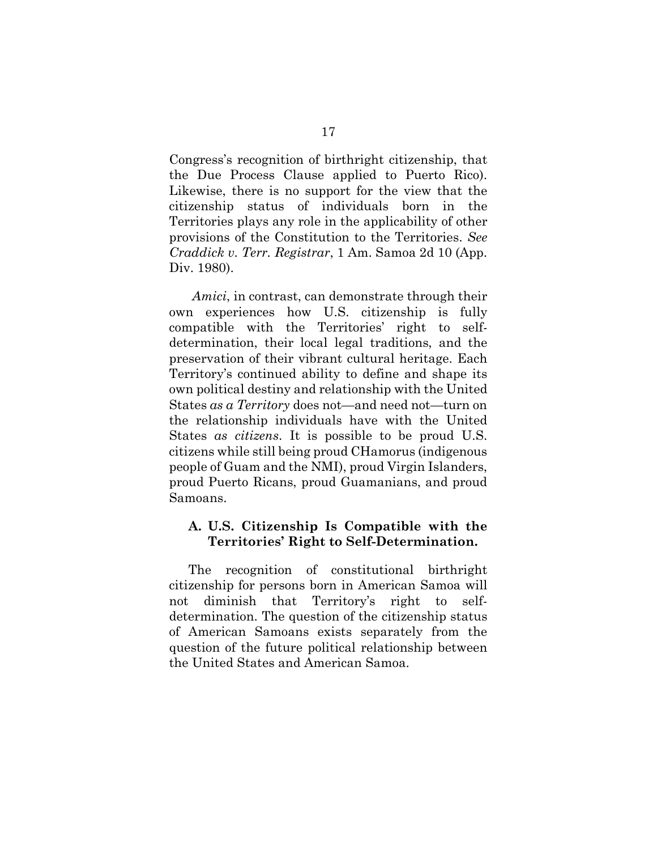Congress's recognition of birthright citizenship, that the Due Process Clause applied to Puerto Rico). Likewise, there is no support for the view that the citizenship status of individuals born in the Territories plays any role in the applicability of other provisions of the Constitution to the Territories. *See Craddick v. Terr. Registrar*, 1 Am. Samoa 2d 10 (App. Div. 1980).

 *Amici*, in contrast, can demonstrate through their own experiences how U.S. citizenship is fully compatible with the Territories' right to selfdetermination, their local legal traditions, and the preservation of their vibrant cultural heritage. Each Territory's continued ability to define and shape its own political destiny and relationship with the United States *as a Territory* does not—and need not—turn on the relationship individuals have with the United States *as citizens*. It is possible to be proud U.S. citizens while still being proud CHamorus (indigenous people of Guam and the NMI), proud Virgin Islanders, proud Puerto Ricans, proud Guamanians, and proud Samoans.

## **A. U.S. Citizenship Is Compatible with the Territories' Right to Self-Determination.**

The recognition of constitutional birthright citizenship for persons born in American Samoa will not diminish that Territory's right to selfdetermination. The question of the citizenship status of American Samoans exists separately from the question of the future political relationship between the United States and American Samoa.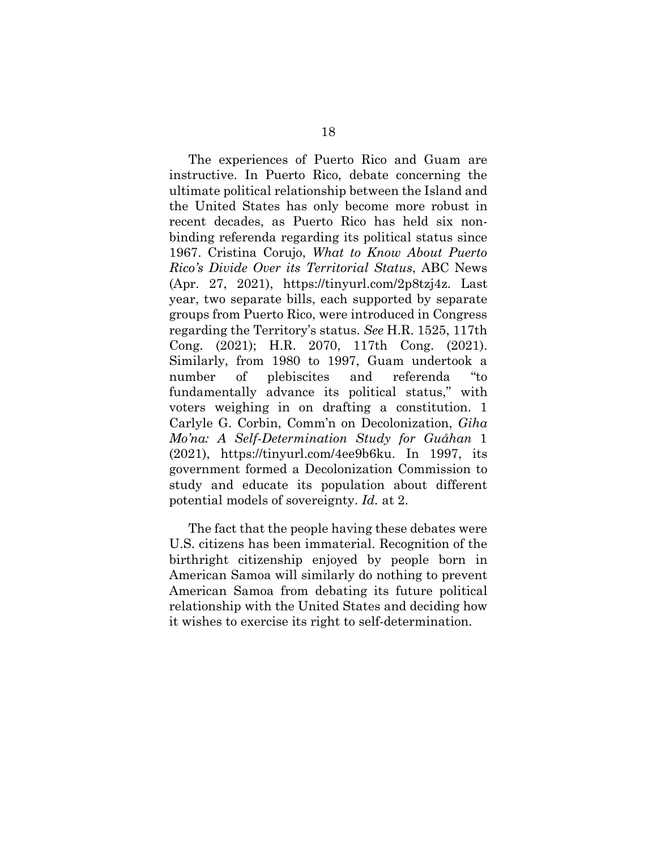The experiences of Puerto Rico and Guam are instructive. In Puerto Rico, debate concerning the ultimate political relationship between the Island and the United States has only become more robust in recent decades, as Puerto Rico has held six nonbinding referenda regarding its political status since 1967. Cristina Corujo, *What to Know About Puerto Rico's Divide Over its Territorial Status*, ABC News (Apr. 27, 2021), https://tinyurl.com/2p8tzj4z. Last year, two separate bills, each supported by separate groups from Puerto Rico, were introduced in Congress regarding the Territory's status. *See* H.R. 1525, 117th Cong. (2021); H.R. 2070, 117th Cong. (2021). Similarly, from 1980 to 1997, Guam undertook a number of plebiscites and referenda "to fundamentally advance its political status," with voters weighing in on drafting a constitution. 1 Carlyle G. Corbin, Comm'n on Decolonization, *Giha Mo'na: A Self-Determination Study for Guåhan* 1 (2021), https://tinyurl.com/4ee9b6ku. In 1997, its government formed a Decolonization Commission to study and educate its population about different potential models of sovereignty. *Id.* at 2.

The fact that the people having these debates were U.S. citizens has been immaterial. Recognition of the birthright citizenship enjoyed by people born in American Samoa will similarly do nothing to prevent American Samoa from debating its future political relationship with the United States and deciding how it wishes to exercise its right to self-determination.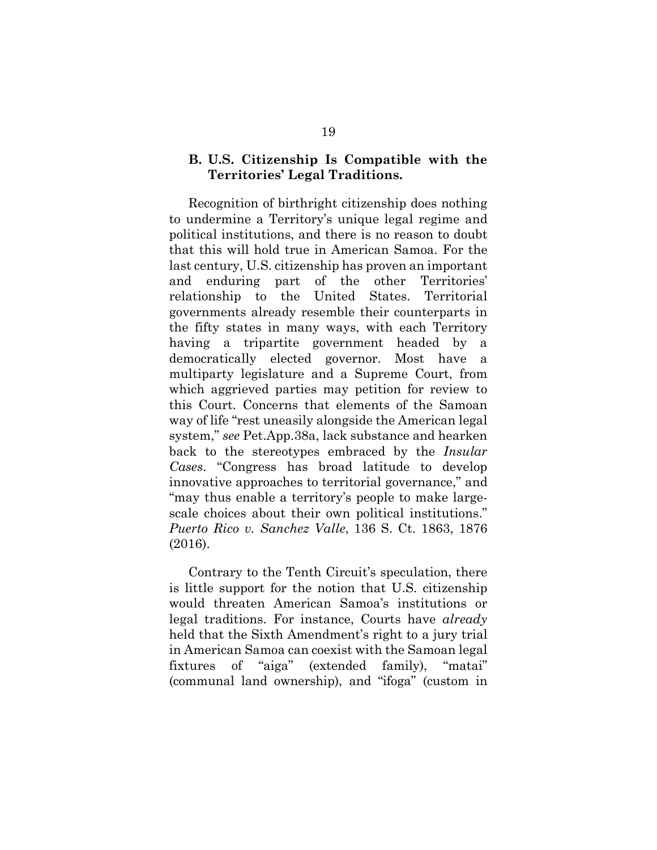## **B. U.S. Citizenship Is Compatible with the Territories' Legal Traditions.**

Recognition of birthright citizenship does nothing to undermine a Territory's unique legal regime and political institutions, and there is no reason to doubt that this will hold true in American Samoa. For the last century, U.S. citizenship has proven an important and enduring part of the other Territories' relationship to the United States. Territorial governments already resemble their counterparts in the fifty states in many ways, with each Territory having a tripartite government headed by a democratically elected governor. Most have a multiparty legislature and a Supreme Court, from which aggrieved parties may petition for review to this Court. Concerns that elements of the Samoan way of life "rest uneasily alongside the American legal system," *see* Pet.App.38a, lack substance and hearken back to the stereotypes embraced by the *Insular Cases*. "Congress has broad latitude to develop innovative approaches to territorial governance," and "may thus enable a territory's people to make largescale choices about their own political institutions." *Puerto Rico v. Sanchez Valle*, 136 S. Ct. 1863, 1876 (2016).

Contrary to the Tenth Circuit's speculation, there is little support for the notion that U.S. citizenship would threaten American Samoa's institutions or legal traditions. For instance, Courts have *already* held that the Sixth Amendment's right to a jury trial in American Samoa can coexist with the Samoan legal fixtures of "aiga" (extended family), "matai" (communal land ownership), and "ifoga" (custom in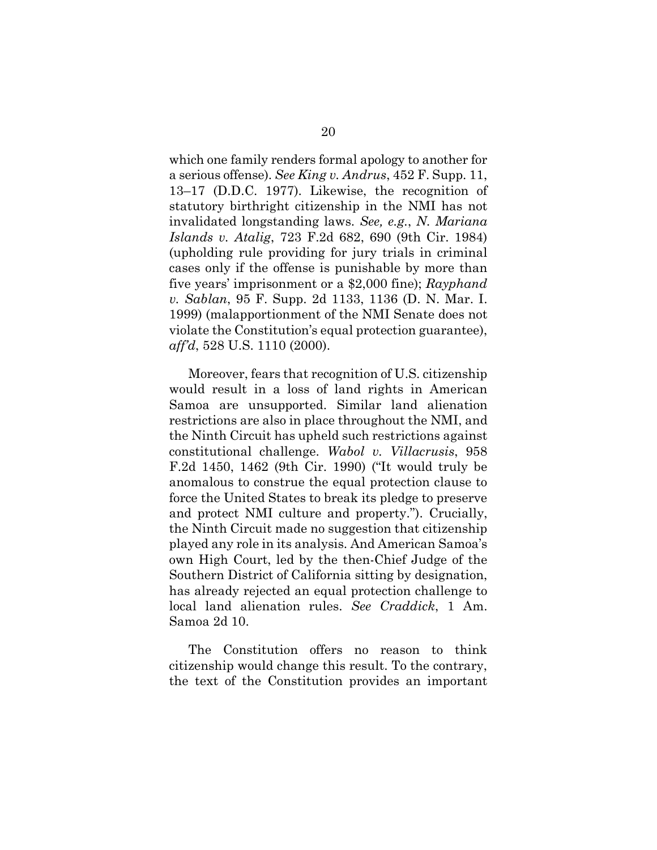which one family renders formal apology to another for a serious offense). *See King v. Andrus*, 452 F. Supp. 11, 13–17 (D.D.C. 1977). Likewise, the recognition of statutory birthright citizenship in the NMI has not invalidated longstanding laws. *See, e.g.*, *N. Mariana Islands v. Atalig*, 723 F.2d 682, 690 (9th Cir. 1984) (upholding rule providing for jury trials in criminal cases only if the offense is punishable by more than five years' imprisonment or a \$2,000 fine); *Rayphand v. Sablan*, 95 F. Supp. 2d 1133, 1136 (D. N. Mar. I. 1999) (malapportionment of the NMI Senate does not violate the Constitution's equal protection guarantee), *aff'd*, 528 U.S. 1110 (2000).

Moreover, fears that recognition of U.S. citizenship would result in a loss of land rights in American Samoa are unsupported. Similar land alienation restrictions are also in place throughout the NMI, and the Ninth Circuit has upheld such restrictions against constitutional challenge. *Wabol v. Villacrusis*, 958 F.2d 1450, 1462 (9th Cir. 1990) ("It would truly be anomalous to construe the equal protection clause to force the United States to break its pledge to preserve and protect NMI culture and property."). Crucially, the Ninth Circuit made no suggestion that citizenship played any role in its analysis. And American Samoa's own High Court, led by the then-Chief Judge of the Southern District of California sitting by designation, has already rejected an equal protection challenge to local land alienation rules. *See Craddick*, 1 Am. Samoa 2d 10.

The Constitution offers no reason to think citizenship would change this result. To the contrary, the text of the Constitution provides an important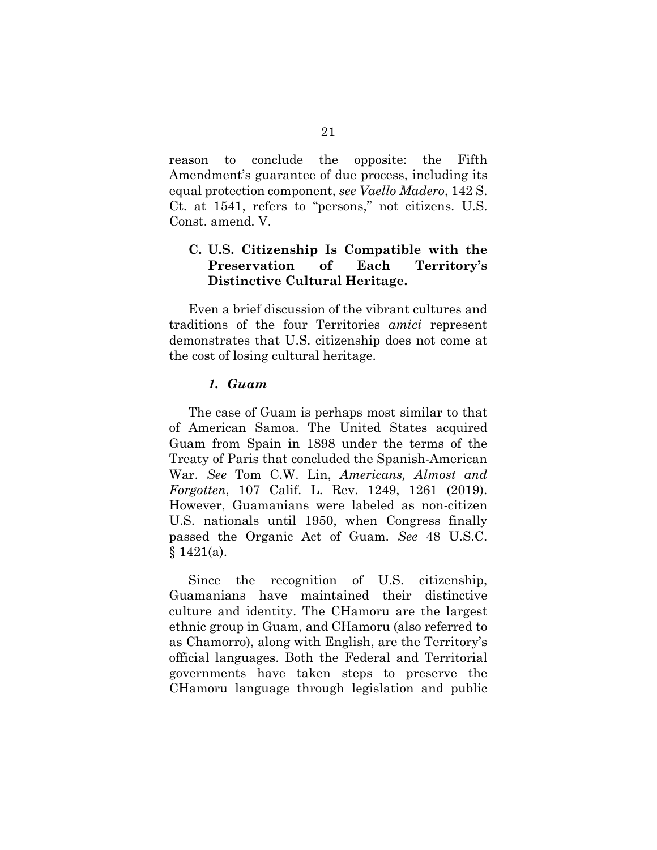reason to conclude the opposite: the Fifth Amendment's guarantee of due process, including its equal protection component, *see Vaello Madero*, 142 S. Ct. at 1541, refers to "persons," not citizens. U.S. Const. amend. V.

## **C. U.S. Citizenship Is Compatible with the Preservation of Each Territory's Distinctive Cultural Heritage.**

Even a brief discussion of the vibrant cultures and traditions of the four Territories *amici* represent demonstrates that U.S. citizenship does not come at the cost of losing cultural heritage.

## *1. Guam*

The case of Guam is perhaps most similar to that of American Samoa. The United States acquired Guam from Spain in 1898 under the terms of the Treaty of Paris that concluded the Spanish-American War. *See* Tom C.W. Lin, *Americans, Almost and Forgotten*, 107 Calif. L. Rev. 1249, 1261 (2019). However, Guamanians were labeled as non-citizen U.S. nationals until 1950, when Congress finally passed the Organic Act of Guam. *See* 48 U.S.C.  $§ 1421(a).$ 

Since the recognition of U.S. citizenship, Guamanians have maintained their distinctive culture and identity. The CHamoru are the largest ethnic group in Guam, and CHamoru (also referred to as Chamorro), along with English, are the Territory's official languages. Both the Federal and Territorial governments have taken steps to preserve the CHamoru language through legislation and public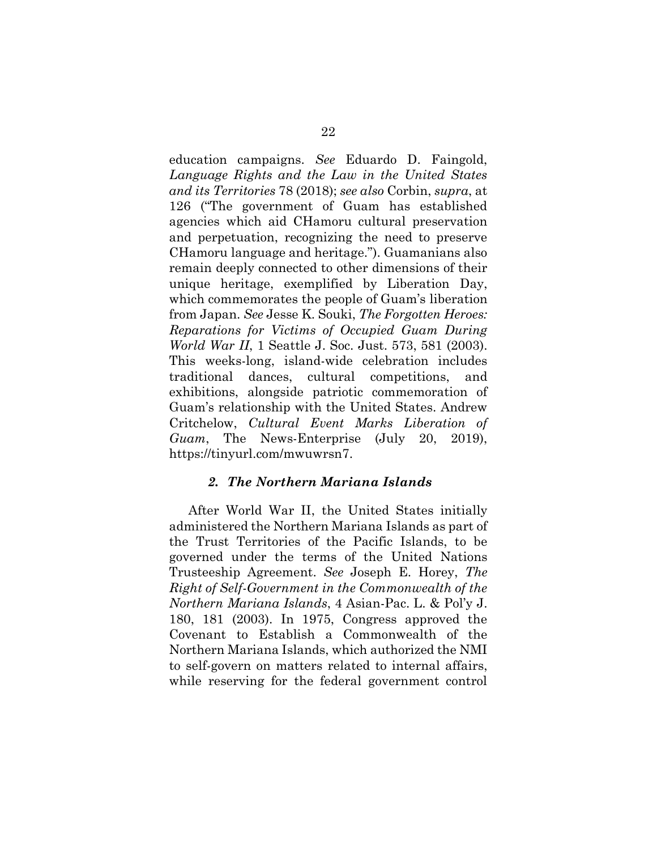education campaigns. *See* Eduardo D. Faingold, *Language Rights and the Law in the United States and its Territories* 78 (2018); *see also* Corbin, *supra*, at 126 ("The government of Guam has established agencies which aid CHamoru cultural preservation and perpetuation, recognizing the need to preserve CHamoru language and heritage."). Guamanians also remain deeply connected to other dimensions of their unique heritage, exemplified by Liberation Day, which commemorates the people of Guam's liberation from Japan. *See* Jesse K. Souki, *The Forgotten Heroes: Reparations for Victims of Occupied Guam During World War II*, 1 Seattle J. Soc. Just. 573, 581 (2003). This weeks-long, island-wide celebration includes traditional dances, cultural competitions, and exhibitions, alongside patriotic commemoration of Guam's relationship with the United States. Andrew Critchelow, *Cultural Event Marks Liberation of Guam*, The News-Enterprise (July 20, 2019), https://tinyurl.com/mwuwrsn7.

#### *2. The Northern Mariana Islands*

After World War II, the United States initially administered the Northern Mariana Islands as part of the Trust Territories of the Pacific Islands, to be governed under the terms of the United Nations Trusteeship Agreement. *See* Joseph E. Horey, *The Right of Self-Government in the Commonwealth of the Northern Mariana Islands*, 4 Asian-Pac. L. & Pol'y J. 180, 181 (2003). In 1975, Congress approved the Covenant to Establish a Commonwealth of the Northern Mariana Islands, which authorized the NMI to self-govern on matters related to internal affairs, while reserving for the federal government control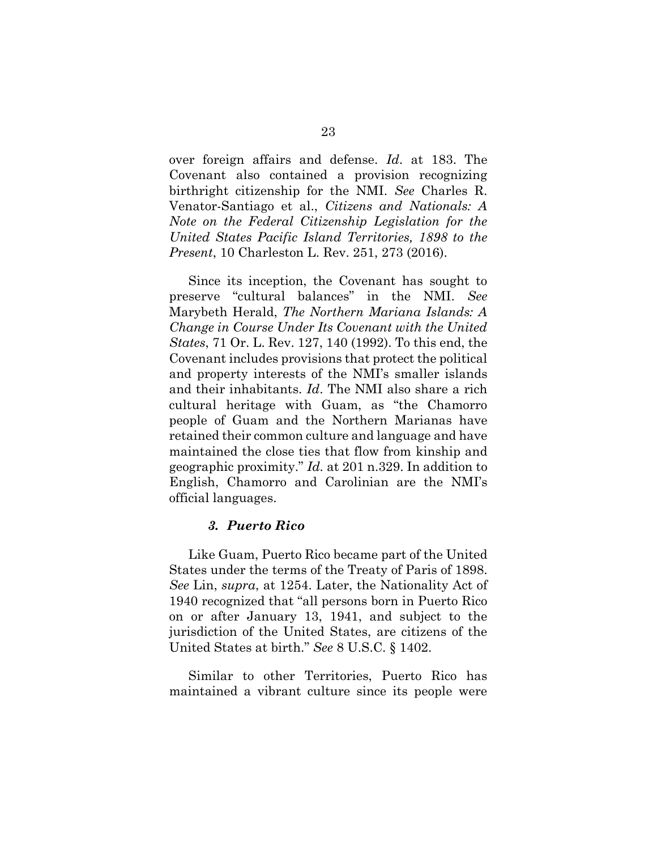over foreign affairs and defense. *Id*. at 183. The Covenant also contained a provision recognizing birthright citizenship for the NMI. *See* Charles R. Venator-Santiago et al., *Citizens and Nationals: A Note on the Federal Citizenship Legislation for the United States Pacific Island Territories, 1898 to the Present*, 10 Charleston L. Rev. 251, 273 (2016).

Since its inception, the Covenant has sought to preserve "cultural balances" in the NMI. *See*  Marybeth Herald, *The Northern Mariana Islands: A Change in Course Under Its Covenant with the United States*, 71 Or. L. Rev. 127, 140 (1992). To this end, the Covenant includes provisions that protect the political and property interests of the NMI's smaller islands and their inhabitants. *Id*. The NMI also share a rich cultural heritage with Guam, as "the Chamorro people of Guam and the Northern Marianas have retained their common culture and language and have maintained the close ties that flow from kinship and geographic proximity." *Id.* at 201 n.329. In addition to English, Chamorro and Carolinian are the NMI's official languages.

#### *3. Puerto Rico*

Like Guam, Puerto Rico became part of the United States under the terms of the Treaty of Paris of 1898. *See* Lin, *supra*, at 1254. Later, the Nationality Act of 1940 recognized that "all persons born in Puerto Rico on or after January 13, 1941, and subject to the jurisdiction of the United States, are citizens of the United States at birth." *See* 8 U.S.C. § 1402.

Similar to other Territories, Puerto Rico has maintained a vibrant culture since its people were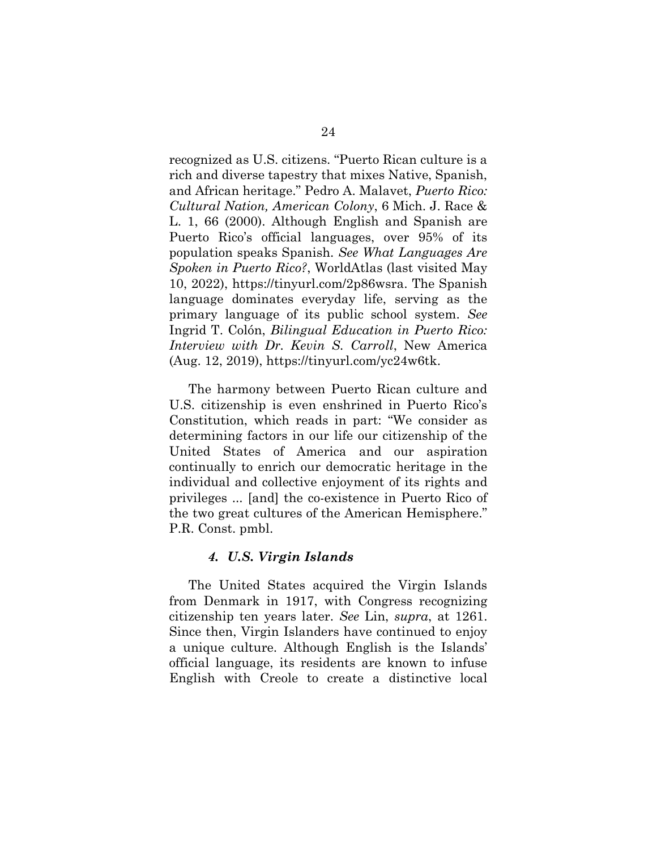recognized as U.S. citizens. "Puerto Rican culture is a rich and diverse tapestry that mixes Native, Spanish, and African heritage." Pedro A. Malavet, *Puerto Rico: Cultural Nation, American Colony*, 6 Mich. J. Race & L. 1, 66 (2000). Although English and Spanish are Puerto Rico's official languages, over 95% of its population speaks Spanish. *See What Languages Are Spoken in Puerto Rico?*, WorldAtlas (last visited May 10, 2022), https://tinyurl.com/2p86wsra. The Spanish language dominates everyday life, serving as the primary language of its public school system. *See*  Ingrid T. Colón, *Bilingual Education in Puerto Rico: Interview with Dr. Kevin S. Carroll*, New America (Aug. 12, 2019), https://tinyurl.com/yc24w6tk.

The harmony between Puerto Rican culture and U.S. citizenship is even enshrined in Puerto Rico's Constitution, which reads in part: "We consider as determining factors in our life our citizenship of the United States of America and our aspiration continually to enrich our democratic heritage in the individual and collective enjoyment of its rights and privileges ... [and] the co-existence in Puerto Rico of the two great cultures of the American Hemisphere." P.R. Const. pmbl.

## *4. U.S. Virgin Islands*

The United States acquired the Virgin Islands from Denmark in 1917, with Congress recognizing citizenship ten years later. *See* Lin, *supra*, at 1261. Since then, Virgin Islanders have continued to enjoy a unique culture. Although English is the Islands' official language, its residents are known to infuse English with Creole to create a distinctive local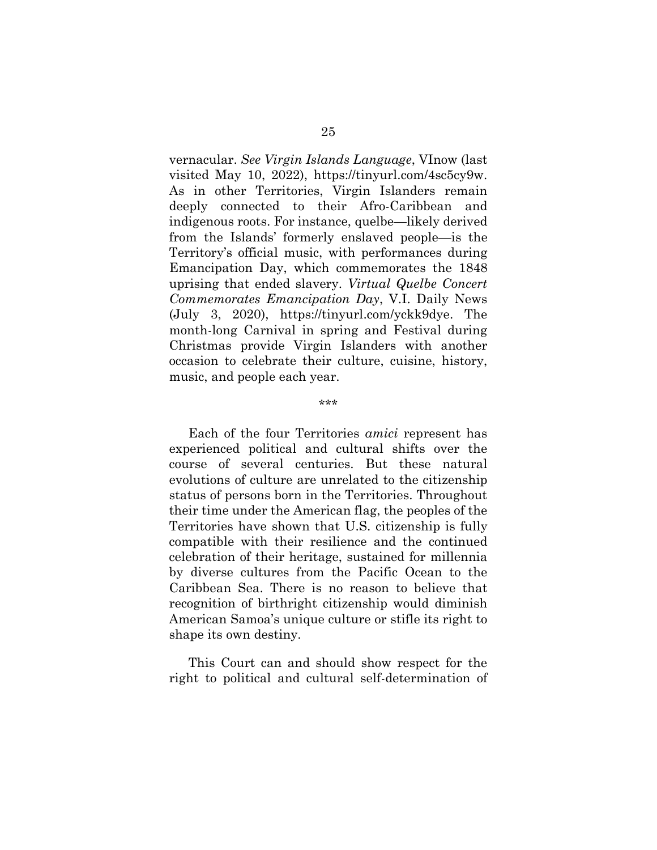vernacular. *See Virgin Islands Language*, VInow (last visited May 10, 2022), https://tinyurl.com/4sc5cy9w. As in other Territories, Virgin Islanders remain deeply connected to their Afro-Caribbean and indigenous roots. For instance, quelbe—likely derived from the Islands' formerly enslaved people—is the Territory's official music, with performances during Emancipation Day, which commemorates the 1848 uprising that ended slavery. *Virtual Quelbe Concert Commemorates Emancipation Day*, V.I. Daily News (July 3, 2020), https://tinyurl.com/yckk9dye. The month-long Carnival in spring and Festival during Christmas provide Virgin Islanders with another occasion to celebrate their culture, cuisine, history, music, and people each year.

\*\*\*

Each of the four Territories *amici* represent has experienced political and cultural shifts over the course of several centuries. But these natural evolutions of culture are unrelated to the citizenship status of persons born in the Territories. Throughout their time under the American flag, the peoples of the Territories have shown that U.S. citizenship is fully compatible with their resilience and the continued celebration of their heritage, sustained for millennia by diverse cultures from the Pacific Ocean to the Caribbean Sea. There is no reason to believe that recognition of birthright citizenship would diminish American Samoa's unique culture or stifle its right to shape its own destiny.

This Court can and should show respect for the right to political and cultural self-determination of